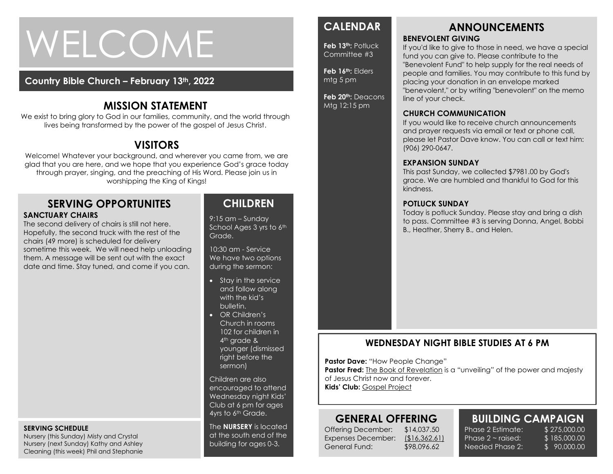# WELCOME

#### **Country Bible Church – February 13th, 2022**

# **MISSION STATEMENT**

We exist to bring glory to God in our families, community, and the world through lives being transformed by the power of the gospel of Jesus Christ.

# **VISITORS**

Welcome! Whatever your background, and wherever you came from, we are glad that you are here, and we hope that you experience God's grace today through prayer, singing, and the preaching of His Word. Please join us in worshipping the King of Kings!

#### **SERVING OPPORTUNITES SANCTUARY CHAIRS**

The second delivery of chairs is still not here. Hopefully, the second truck with the rest of the chairs (49 more) is scheduled for delivery sometime this week. We will need help unloading them. A message will be sent out with the exact date and time. Stay tuned, and come if you can.

#### **SERVING SCHEDULE**

Nursery (this Sunday) Misty and Crystal Nursery (next Sunday) Kathy and Ashley Cleaning (this week) Phil and Stephanie

## **CHILDREN**

9:15 am – Sunday School Ages 3 yrs to 6th Grade.

10:30 am - Service We have two options during the sermon:

- Stay in the service and follow along with the kid's bulletin.
- OR Children's Church in rooms 102 for children in 4<sup>th</sup> grade & younger (dismissed right before the sermon)

Children are also encouraged to attend Wednesday night Kids' Club at 6 pm for ages 4yrs to 6<sup>th</sup> Grade.

The **NURSERY** is located at the south end of the building for ages 0-3.

# **CALENDAR**

**Feb 13th:** Potluck Committee #3

**Feb 16th:** Elders mtg 5 pm

**Feb 20th:** Deacons Mtg 12:15 pm

# **ANNOUNCEMENTS**

#### **BENEVOLENT GIVING**

If you'd like to give to those in need, we have a special fund you can give to. Please contribute to the "Benevolent Fund" to help supply for the real needs of people and families. You may contribute to this fund by placing your donation in an envelope marked "benevolent," or by writing "benevolent" on the memo line of your check.

#### **CHURCH COMMUNICATION**

If you would like to receive church announcements and prayer requests via email or text or phone call, please let Pastor Dave know. You can call or text him: (906) 290-0647.

#### **EXPANSION SUNDAY**

This past Sunday, we collected \$7981.00 by God's grace. We are humbled and thankful to God for this kindness.

#### **POTLUCK SUNDAY**

Today is potluck Sunday. Please stay and bring a dish to pass. Committee #3 is serving Donna, Angel, Bobbi B., Heather, Sherry B., and Helen.

## **WEDNESDAY NIGHT BIBLE STUDIES AT 6 PM**

**Pastor Dave: "How People Change"** 

**Pastor Fred:** The Book of Revelation is a "unveiling" of the power and majesty of Jesus Christ now and forever. **Kids' Club:** Gospel Project

# **GENERAL OFFERING**

Offering December: \$14,037.50 Expenses December: (\$16,362.61) General Fund: \$98,096.62

# **BUILDING CAMPAIGN**

Phase 2 Estimate: \$ 275,000.00 Phase  $2 \sim$  raised: Needed Phase 2:

\$ 185,000.00 \$ 90,000.00